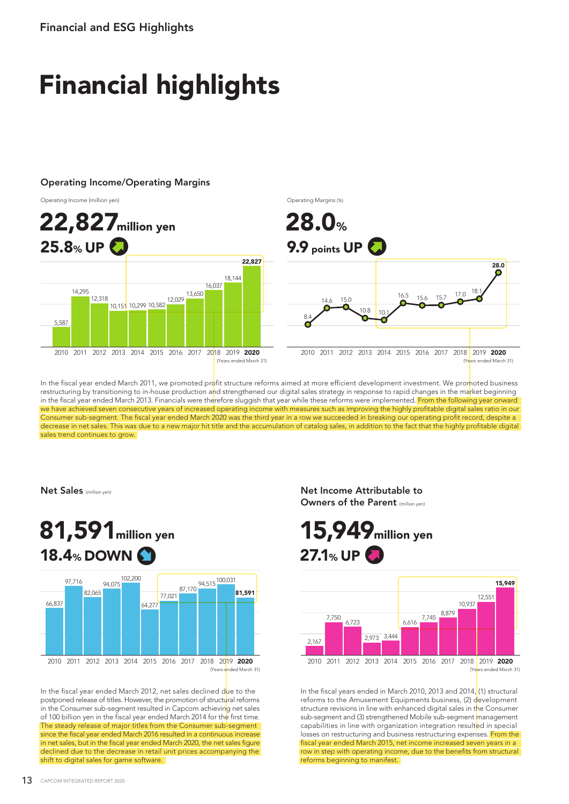## Financial highlights

## Operating Income/Operating Margins







In the fiscal year ended March 2011, we promoted profit structure reforms aimed at more efficient development investment. We promoted business restructuring by transitioning to in-house production and strengthened our digital sales strategy in response to rapid changes in the market beginning in the fiscal year ended March 2013. Financials were therefore sluggish that year while these reforms were implemented. From the following year onward we have achieved seven consecutive years of increased operating income with measures such as improving the highly profitable digital sales ratio in our Consumer sub-segment. The fiscal year ended March 2020 was the third year in a row we succeeded in breaking our operating profit record, despite a decrease in net sales. This was due to a new major hit title and the accumulation of catalog sales, in addition to the fact that the highly profitable digital sales trend continues to grow.

Net Sales (million yen)



In the fiscal year ended March 2012, net sales declined due to the postponed release of titles. However, the promotion of structural reforms in the Consumer sub-segment resulted in Capcom achieving net sales of 100 billion yen in the fiscal year ended March 2014 for the first time. The steady release of major titles from the Consumer sub-segment since the fiscal year ended March 2016 resulted in a continuous increase in net sales, but in the fiscal year ended March 2020, the net sales figure declined due to the decrease in retail unit prices accompanying the shift to digital sales for game software.

Net Income Attributable to Owners of the Parent (million yen)

15,949million yen  $27.1%$  UP  $\bigodot$ 



In the fiscal years ended in March 2010, 2013 and 2014, (1) structural reforms to the Amusement Equipments business, (2) development structure revisions in line with enhanced digital sales in the Consumer sub-segment and (3) strengthened Mobile sub-segment management capabilities in line with organization integration resulted in special losses on restructuring and business restructuring expenses. From the fiscal year ended March 2015, net income increased seven years in a row in step with operating income, due to the benefits from structural reforms beginning to manifest.